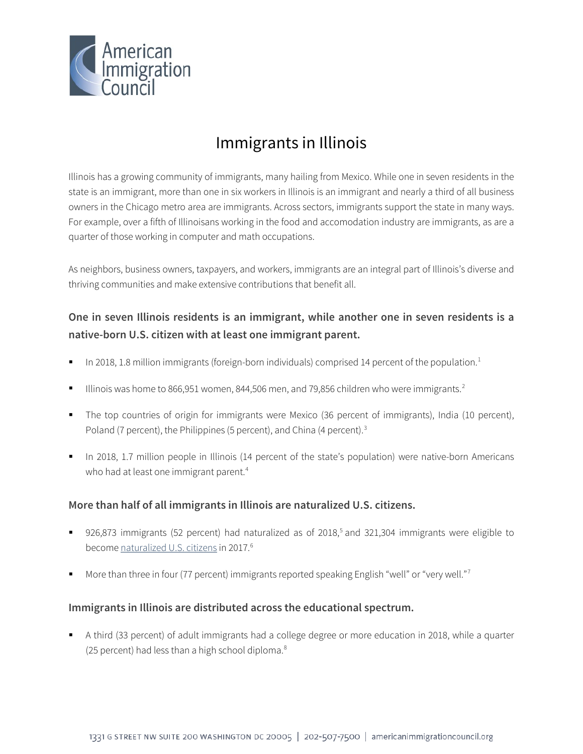

# Immigrants in Illinois

Illinois has a growing community of immigrants, many hailing from Mexico. While one in seven residents in the state is an immigrant, more than one in six workers in Illinois is an immigrant and nearly a third of all business owners in the Chicago metro area are immigrants. Across sectors, immigrants support the state in many ways. For example, over a fifth of Illinoisans working in the food and accomodation industry are immigrants, as are a quarter of those working in computer and math occupations.

As neighbors, business owners, taxpayers, and workers, immigrants are an integral part of Illinois's diverse and thriving communities and make extensive contributions that benefit all.

### **One in seven Illinois residents is an immigrant, while another one in seven residents is a native-born U.S. citizen with at least one immigrant parent.**

- In 20[1](#page-4-0)8, 1.8 million immigrants (foreign-born individuals) comprised 14 percent of the population.<sup>1</sup>
- Illinois was home to 866,951 women, 844,506 men, and 79,856 children who were immigrants.<sup>[2](#page-4-1)</sup>
- The top countries of origin for immigrants were Mexico (36 percent of immigrants), India (10 percent), Poland (7 percent), the Philippines (5 percent), and China (4 percent).<sup>[3](#page-4-2)</sup>
- In 2018, 1.7 million people in Illinois (14 percent of the state's population) were native-born Americans who had at least one immigrant parent.<sup>[4](#page-4-3)</sup>

### **More than half of all immigrants in Illinois are naturalized U.S. citizens.**

- 926,873 immigrants ([5](#page-4-4)2 percent) had naturalized as of 2018,<sup>5</sup> and 321,304 immigrants were eligible to become [naturalized U.S. citizens](http://data.cmsny.org/state.html) in 2017.<sup>[6](#page-4-5)</sup>
- More than three in four ([7](#page-4-6)7 percent) immigrants reported speaking English "well" or "very well."<sup>7</sup>

### **Immigrants in Illinois are distributed across the educational spectrum.**

 A third (33 percent) of adult immigrants had a college degree or more education in 2018, while a quarter (25 percent) had less than a high school diploma. $8$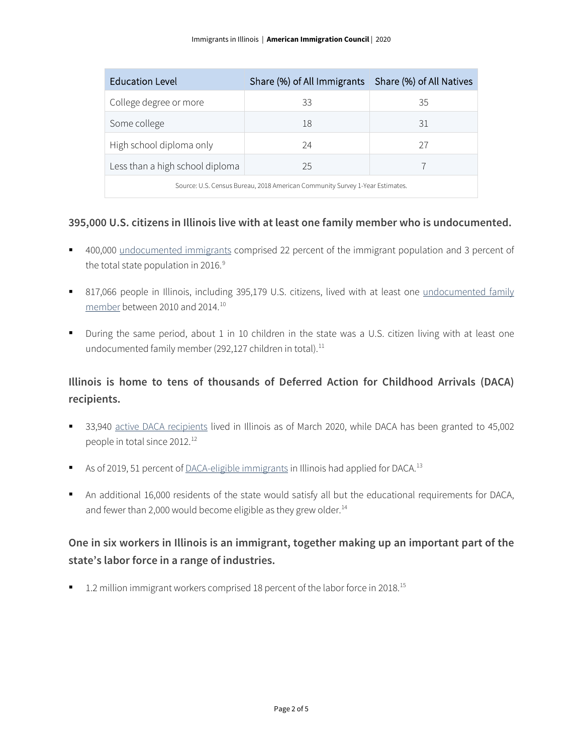| <b>Education Level</b>                                                       | Share (%) of All Immigrants Share (%) of All Natives |    |  |
|------------------------------------------------------------------------------|------------------------------------------------------|----|--|
| College degree or more                                                       | 33                                                   | 35 |  |
| Some college                                                                 | 18                                                   | 31 |  |
| High school diploma only                                                     | 24                                                   | 27 |  |
| Less than a high school diploma                                              | 25                                                   |    |  |
| Source: U.S. Census Bureau, 2018 American Community Survey 1-Year Estimates. |                                                      |    |  |

#### **395,000 U.S. citizens in Illinois live with at least one family member who is undocumented.**

- <sup>4</sup> 400,000 [undocumented immigrants](http://www.pewhispanic.org/interactives/unauthorized-immigrants/) comprised 22 percent of the immigrant population and 3 percent of the total state population in 2016. $9$
- 817,066 people in Illinois, including 395,179 U.S. citizens, lived with at least one undocumented family [member](https://www.americanprogress.org/issues/immigration/news/2017/03/16/427868/state-state-estimates-family-members-unauthorized-immigrants/) between 2010 and 2014.[10](#page-4-9)
- During the same period, about 1 in 10 children in the state was a U.S. citizen living with at least one undocumented family member (292,127 children in total).<sup>[11](#page-4-10)</sup>

### **Illinois is home to tens of thousands of Deferred Action for Childhood Arrivals (DACA) recipients.**

- 33,940 [active DACA recipients](https://www.uscis.gov/sites/default/files/document/data/Approximate%20Active%20DACA%20Receipts%20-%20March%2031%2C%202020.pdf) lived in Illinois as of March 2020, while DACA has been granted to 45,002 people in total since 20[12](#page-4-11).<sup>12</sup>
- As of 2019, 51 percent o[f DACA-eligible immigrants](http://www.migrationpolicy.org/programs/data-hub/deferred-action-childhood-arrivals-daca-profiles) in Illinois had applied for DACA.<sup>[13](#page-4-12)</sup>
- An additional 16,000 residents of the state would satisfy all but the educational requirements for DACA, and fewer than 2,000 would become eligible as they grew older. $14$

## **One in six workers in Illinois is an immigrant, together making up an important part of the state's labor force in a range of industries.**

■ 1.2 million immigrant workers comprised 18 percent of the labor force in 2018.<sup>[15](#page-4-14)</sup>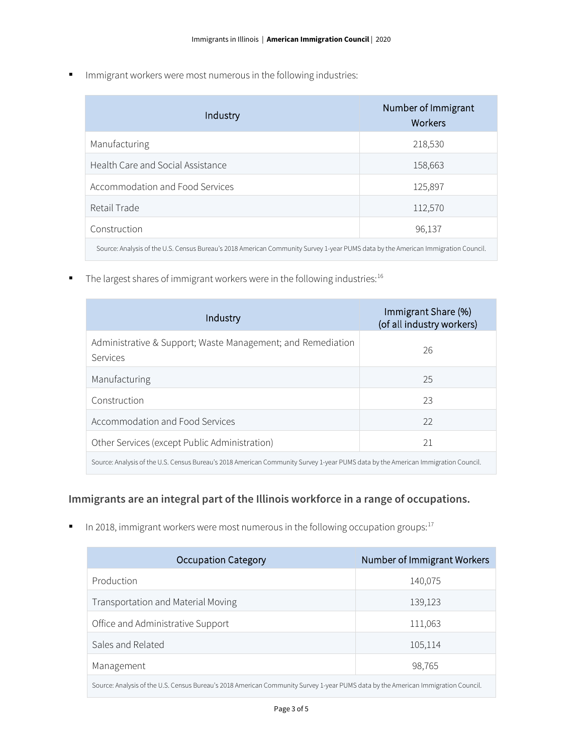**IMMI** Immigrant workers were most numerous in the following industries:

| Industry                                                                                                                          | Number of Immigrant<br>Workers |  |
|-----------------------------------------------------------------------------------------------------------------------------------|--------------------------------|--|
| Manufacturing                                                                                                                     | 218,530                        |  |
| Health Care and Social Assistance                                                                                                 | 158,663                        |  |
| Accommodation and Food Services                                                                                                   | 125,897                        |  |
| Retail Trade                                                                                                                      | 112,570                        |  |
| Construction                                                                                                                      | 96,137                         |  |
| Source: Analysis of the U.S. Census Bureau's 2018 American Community Survey 1-year PUMS data by the American Immigration Council. |                                |  |

 $\blacksquare$  The largest shares of immigrant workers were in the following industries:<sup>16</sup>

| Industry                                                                                                                          | Immigrant Share (%)<br>(of all industry workers) |  |
|-----------------------------------------------------------------------------------------------------------------------------------|--------------------------------------------------|--|
| Administrative & Support; Waste Management; and Remediation<br>Services                                                           | 26                                               |  |
| Manufacturing                                                                                                                     | 25                                               |  |
| Construction                                                                                                                      | 23                                               |  |
| Accommodation and Food Services                                                                                                   | 22                                               |  |
| Other Services (except Public Administration)                                                                                     | 21                                               |  |
| Source: Analysis of the U.S. Census Bureau's 2018 American Community Survey 1-year PUMS data by the American Immigration Council. |                                                  |  |

### **Immigrants are an integral part of the Illinois workforce in a range of occupations.**

In 2018, immigrant workers were most numerous in the following occupation groups: $17$ 

| <b>Occupation Category</b>                                                                                                        | Number of Immigrant Workers |  |
|-----------------------------------------------------------------------------------------------------------------------------------|-----------------------------|--|
| Production                                                                                                                        | 140,075                     |  |
| Transportation and Material Moving                                                                                                | 139,123                     |  |
| Office and Administrative Support                                                                                                 | 111,063                     |  |
| Sales and Related                                                                                                                 | 105,114                     |  |
| Management                                                                                                                        | 98,765                      |  |
| Source: Analysis of the U.S. Census Bureau's 2018 American Community Survey 1-year PUMS data by the American Immigration Council. |                             |  |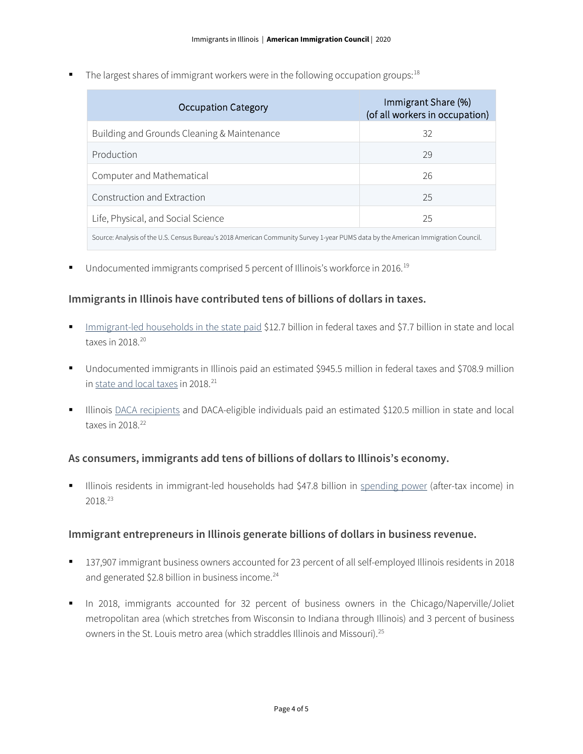The largest shares of immigrant workers were in the following occupation groups:  $18$ 

| Occupation Category                                                                                                               | Immigrant Share (%)<br>(of all workers in occupation) |  |
|-----------------------------------------------------------------------------------------------------------------------------------|-------------------------------------------------------|--|
| Building and Grounds Cleaning & Maintenance                                                                                       | 32                                                    |  |
| Production                                                                                                                        | 29                                                    |  |
| Computer and Mathematical                                                                                                         | 26                                                    |  |
| Construction and Extraction                                                                                                       | 25                                                    |  |
| Life, Physical, and Social Science                                                                                                | 25                                                    |  |
| Source: Analysis of the U.S. Census Bureau's 2018 American Community Survey 1-year PUMS data by the American Immigration Council. |                                                       |  |

■ Undocumented immigrants comprised 5 percent of Illinois's workforce in 2016.<sup>[19](#page-4-18)</sup>

#### **Immigrants in Illinois have contributed tens of billions of dollars in taxes.**

- [Immigrant-led households in the state paid](https://www.newamericaneconomy.org/locations/) \$12.7 billion in federal taxes and \$7.7 billion in state and local taxes in 2018.[20](#page-4-19)
- Undocumented immigrants in Illinois paid an estimated \$945.5 million in federal taxes and \$708.9 million i[n state and local taxes](https://www.newamericaneconomy.org/locations/) in 2018.<sup>[21](#page-4-20)</sup>
- Illinois [DACA recipients](https://itep.org/state-local-tax-contributions-of-young-undocumented-immigrants/) and DACA-eligible individuals paid an estimated \$120.5 million in state and local taxes in  $2018.<sup>22</sup>$  $2018.<sup>22</sup>$  $2018.<sup>22</sup>$

### **As consumers, immigrants add tens of billions of dollars to Illinois's economy.**

 Illinois residents in immigrant-led households had \$47.8 billion in [spending power](https://www.newamericaneconomy.org/locations/) (after-tax income) in 2018.[23](#page-4-22)

#### **Immigrant entrepreneurs in Illinois generate billions of dollars in business revenue.**

- 137,907 immigrant business owners accounted for 23 percent of all self-employed Illinois residents in 2018 and generated \$2.8 billion in business income. $^{24}$  $^{24}$  $^{24}$
- In 2018, immigrants accounted for 32 percent of business owners in the Chicago/Naperville/Joliet metropolitan area (which stretches from Wisconsin to Indiana through Illinois) and 3 percent of business owners in the St. Louis metro area (which straddles Illinois and Missouri). [25](#page-4-24)